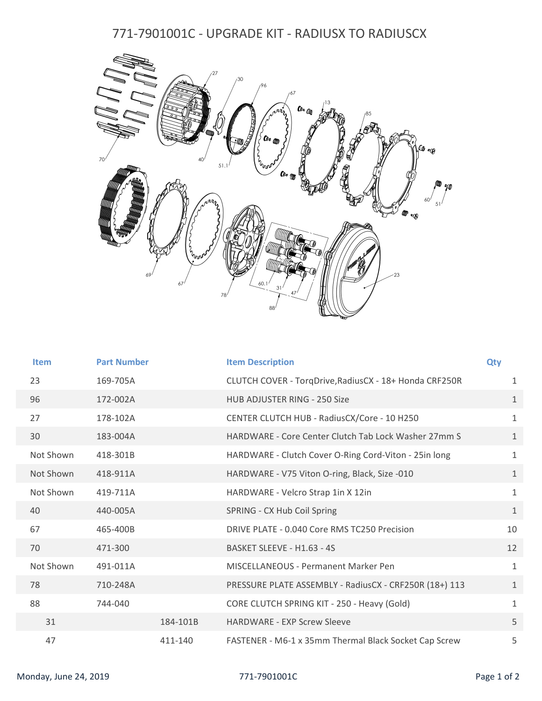## 771-7901001C - UPGRADE KIT - RADIUSX TO RADIUSCX



| <b>Item</b> | <b>Part Number</b> |          | <b>Item Description</b>                                | <b>Qty</b>   |
|-------------|--------------------|----------|--------------------------------------------------------|--------------|
| 23          | 169-705A           |          | CLUTCH COVER - TorqDrive, RadiusCX - 18+ Honda CRF250R | $\mathbf{1}$ |
| 96          | 172-002A           |          | HUB ADJUSTER RING - 250 Size                           | $\mathbf{1}$ |
| 27          | 178-102A           |          | CENTER CLUTCH HUB - RadiusCX/Core - 10 H250            | $\mathbf{1}$ |
| 30          | 183-004A           |          | HARDWARE - Core Center Clutch Tab Lock Washer 27mm S   | $\mathbf{1}$ |
| Not Shown   | 418-301B           |          | HARDWARE - Clutch Cover O-Ring Cord-Viton - 25in long  | $\mathbf{1}$ |
| Not Shown   | 418-911A           |          | HARDWARE - V75 Viton O-ring, Black, Size -010          | $\mathbf{1}$ |
| Not Shown   | 419-711A           |          | HARDWARE - Velcro Strap 1in X 12in                     | $\mathbf{1}$ |
| 40          | 440-005A           |          | SPRING - CX Hub Coil Spring                            | $\mathbf{1}$ |
| 67          | 465-400B           |          | DRIVE PLATE - 0.040 Core RMS TC250 Precision           | 10           |
| 70          | 471-300            |          | BASKET SLEEVE - H1.63 - 4S                             | 12           |
| Not Shown   | 491-011A           |          | MISCELLANEOUS - Permanent Marker Pen                   | $\mathbf{1}$ |
| 78          | 710-248A           |          | PRESSURE PLATE ASSEMBLY - RadiusCX - CRF250R (18+) 113 | $\mathbf{1}$ |
| 88          | 744-040            |          | CORE CLUTCH SPRING KIT - 250 - Heavy (Gold)            | $\mathbf{1}$ |
| 31          |                    | 184-101B | <b>HARDWARE - EXP Screw Sleeve</b>                     | 5            |
| 47          |                    | 411-140  | FASTENER - M6-1 x 35mm Thermal Black Socket Cap Screw  | 5            |